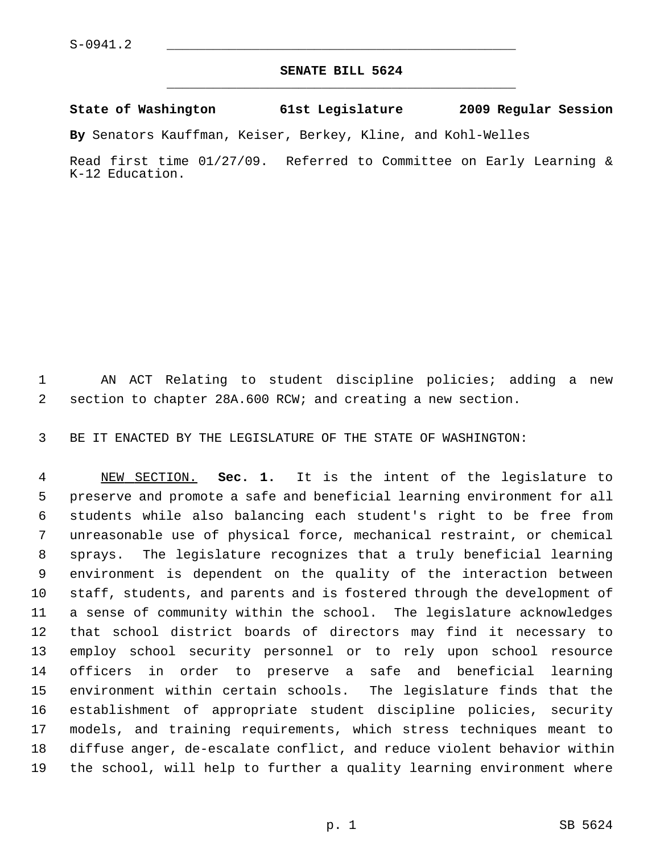## **SENATE BILL 5624** \_\_\_\_\_\_\_\_\_\_\_\_\_\_\_\_\_\_\_\_\_\_\_\_\_\_\_\_\_\_\_\_\_\_\_\_\_\_\_\_\_\_\_\_\_

## **State of Washington 61st Legislature 2009 Regular Session**

**By** Senators Kauffman, Keiser, Berkey, Kline, and Kohl-Welles

Read first time 01/27/09. Referred to Committee on Early Learning & K-12 Education.

 1 AN ACT Relating to student discipline policies; adding a new 2 section to chapter 28A.600 RCW; and creating a new section.

3 BE IT ENACTED BY THE LEGISLATURE OF THE STATE OF WASHINGTON:

 4 NEW SECTION. **Sec. 1.** It is the intent of the legislature to 5 preserve and promote a safe and beneficial learning environment for all 6 students while also balancing each student's right to be free from 7 unreasonable use of physical force, mechanical restraint, or chemical 8 sprays. The legislature recognizes that a truly beneficial learning 9 environment is dependent on the quality of the interaction between 10 staff, students, and parents and is fostered through the development of 11 a sense of community within the school. The legislature acknowledges 12 that school district boards of directors may find it necessary to 13 employ school security personnel or to rely upon school resource 14 officers in order to preserve a safe and beneficial learning 15 environment within certain schools. The legislature finds that the 16 establishment of appropriate student discipline policies, security 17 models, and training requirements, which stress techniques meant to 18 diffuse anger, de-escalate conflict, and reduce violent behavior within 19 the school, will help to further a quality learning environment where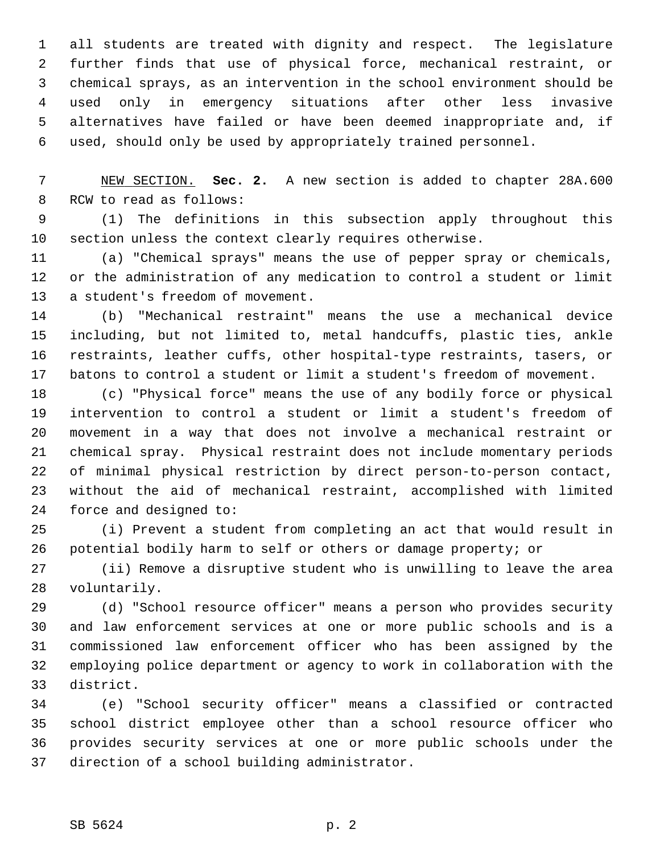1 all students are treated with dignity and respect. The legislature 2 further finds that use of physical force, mechanical restraint, or 3 chemical sprays, as an intervention in the school environment should be 4 used only in emergency situations after other less invasive 5 alternatives have failed or have been deemed inappropriate and, if 6 used, should only be used by appropriately trained personnel.

 7 NEW SECTION. **Sec. 2.** A new section is added to chapter 28A.600 8 RCW to read as follows:

 9 (1) The definitions in this subsection apply throughout this 10 section unless the context clearly requires otherwise.

11 (a) "Chemical sprays" means the use of pepper spray or chemicals, 12 or the administration of any medication to control a student or limit 13 a student's freedom of movement.

14 (b) "Mechanical restraint" means the use a mechanical device 15 including, but not limited to, metal handcuffs, plastic ties, ankle 16 restraints, leather cuffs, other hospital-type restraints, tasers, or 17 batons to control a student or limit a student's freedom of movement.

18 (c) "Physical force" means the use of any bodily force or physical 19 intervention to control a student or limit a student's freedom of 20 movement in a way that does not involve a mechanical restraint or 21 chemical spray. Physical restraint does not include momentary periods 22 of minimal physical restriction by direct person-to-person contact, 23 without the aid of mechanical restraint, accomplished with limited 24 force and designed to:

25 (i) Prevent a student from completing an act that would result in 26 potential bodily harm to self or others or damage property; or

27 (ii) Remove a disruptive student who is unwilling to leave the area 28 voluntarily.

29 (d) "School resource officer" means a person who provides security 30 and law enforcement services at one or more public schools and is a 31 commissioned law enforcement officer who has been assigned by the 32 employing police department or agency to work in collaboration with the 33 district.

34 (e) "School security officer" means a classified or contracted 35 school district employee other than a school resource officer who 36 provides security services at one or more public schools under the 37 direction of a school building administrator.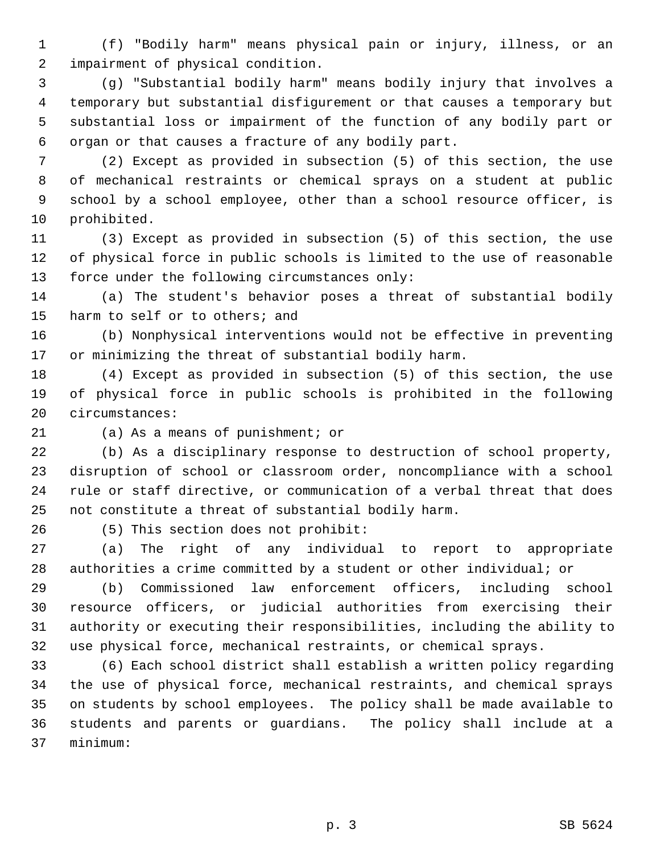1 (f) "Bodily harm" means physical pain or injury, illness, or an 2 impairment of physical condition.

 3 (g) "Substantial bodily harm" means bodily injury that involves a 4 temporary but substantial disfigurement or that causes a temporary but 5 substantial loss or impairment of the function of any bodily part or 6 organ or that causes a fracture of any bodily part.

 7 (2) Except as provided in subsection (5) of this section, the use 8 of mechanical restraints or chemical sprays on a student at public 9 school by a school employee, other than a school resource officer, is 10 prohibited.

11 (3) Except as provided in subsection (5) of this section, the use 12 of physical force in public schools is limited to the use of reasonable 13 force under the following circumstances only:

14 (a) The student's behavior poses a threat of substantial bodily 15 harm to self or to others; and

16 (b) Nonphysical interventions would not be effective in preventing 17 or minimizing the threat of substantial bodily harm.

18 (4) Except as provided in subsection (5) of this section, the use 19 of physical force in public schools is prohibited in the following 20 circumstances:

21 (a) As a means of punishment; or

22 (b) As a disciplinary response to destruction of school property, 23 disruption of school or classroom order, noncompliance with a school 24 rule or staff directive, or communication of a verbal threat that does 25 not constitute a threat of substantial bodily harm.

26 (5) This section does not prohibit:

27 (a) The right of any individual to report to appropriate 28 authorities a crime committed by a student or other individual; or

29 (b) Commissioned law enforcement officers, including school 30 resource officers, or judicial authorities from exercising their 31 authority or executing their responsibilities, including the ability to 32 use physical force, mechanical restraints, or chemical sprays.

33 (6) Each school district shall establish a written policy regarding 34 the use of physical force, mechanical restraints, and chemical sprays 35 on students by school employees. The policy shall be made available to 36 students and parents or guardians. The policy shall include at a 37 minimum: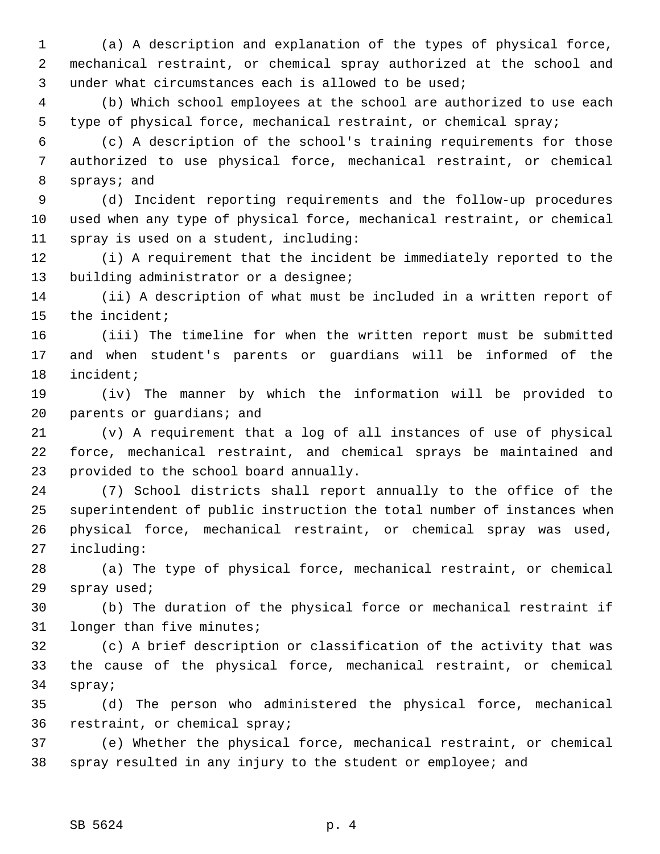1 (a) A description and explanation of the types of physical force, 2 mechanical restraint, or chemical spray authorized at the school and 3 under what circumstances each is allowed to be used;

 4 (b) Which school employees at the school are authorized to use each 5 type of physical force, mechanical restraint, or chemical spray;

 6 (c) A description of the school's training requirements for those 7 authorized to use physical force, mechanical restraint, or chemical 8 sprays; and

 9 (d) Incident reporting requirements and the follow-up procedures 10 used when any type of physical force, mechanical restraint, or chemical 11 spray is used on a student, including:

12 (i) A requirement that the incident be immediately reported to the 13 building administrator or a designee;

14 (ii) A description of what must be included in a written report of 15 the incident;

16 (iii) The timeline for when the written report must be submitted 17 and when student's parents or guardians will be informed of the 18 incident;

19 (iv) The manner by which the information will be provided to 20 parents or guardians; and

21 (v) A requirement that a log of all instances of use of physical 22 force, mechanical restraint, and chemical sprays be maintained and 23 provided to the school board annually.

24 (7) School districts shall report annually to the office of the 25 superintendent of public instruction the total number of instances when 26 physical force, mechanical restraint, or chemical spray was used, 27 including:

28 (a) The type of physical force, mechanical restraint, or chemical 29 spray used;

30 (b) The duration of the physical force or mechanical restraint if 31 longer than five minutes;

32 (c) A brief description or classification of the activity that was 33 the cause of the physical force, mechanical restraint, or chemical 34 spray;

35 (d) The person who administered the physical force, mechanical 36 restraint, or chemical spray;

37 (e) Whether the physical force, mechanical restraint, or chemical 38 spray resulted in any injury to the student or employee; and